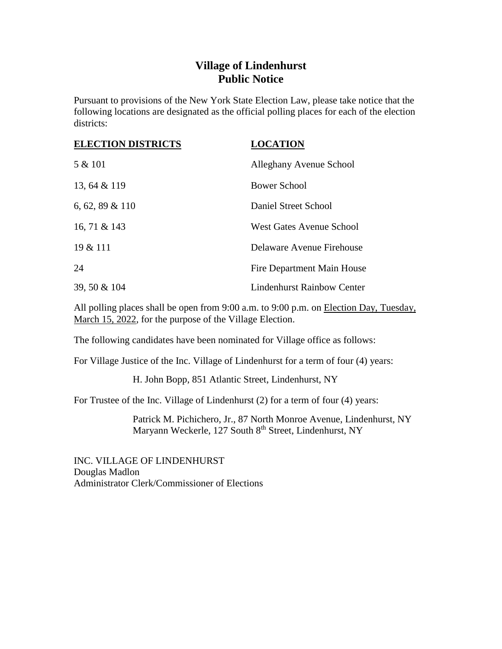## **Village of Lindenhurst Public Notice**

Pursuant to provisions of the New York State Election Law, please take notice that the following locations are designated as the official polling places for each of the election districts:

| <b>ELECTION DISTRICTS</b> | <b>LOCATION</b>                   |
|---------------------------|-----------------------------------|
| 5 & 101                   | Alleghany Avenue School           |
| 13, 64 & 119              | <b>Bower School</b>               |
| 6, 62, 89 $& 110$         | Daniel Street School              |
| 16, 71 & 143              | <b>West Gates Avenue School</b>   |
| 19 & 111                  | Delaware Avenue Firehouse         |
| 24                        | Fire Department Main House        |
| 39, 50 & 104              | <b>Lindenhurst Rainbow Center</b> |

All polling places shall be open from 9:00 a.m. to 9:00 p.m. on Election Day, Tuesday, March 15, 2022, for the purpose of the Village Election.

The following candidates have been nominated for Village office as follows:

For Village Justice of the Inc. Village of Lindenhurst for a term of four (4) years:

H. John Bopp, 851 Atlantic Street, Lindenhurst, NY

For Trustee of the Inc. Village of Lindenhurst (2) for a term of four (4) years:

Patrick M. Pichichero, Jr., 87 North Monroe Avenue, Lindenhurst, NY Maryann Weckerle, 127 South 8<sup>th</sup> Street, Lindenhurst, NY

INC. VILLAGE OF LINDENHURST Douglas Madlon Administrator Clerk/Commissioner of Elections